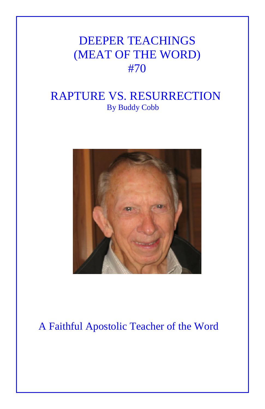# DEEPER TEACHINGS (MEAT OF THE WORD) #70

### RAPTURE VS. RESURRECTION By Buddy Cobb



## A Faithful Apostolic Teacher of the Word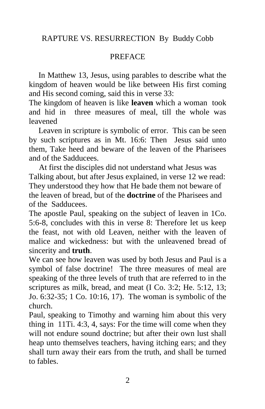#### RAPTURE VS. RESURRECTION By Buddy Cobb

#### PREFACE

In Matthew 13, Jesus, using parables to describe what the kingdom of heaven would be like between His first coming and His second coming, said this in verse 33:

The kingdom of heaven is like **leaven** which a woman took and hid in three measures of meal, till the whole was leavened

Leaven in scripture is symbolic of error. This can be seen by such scriptures as in Mt. 16:6: Then Jesus said unto them, Take heed and beware of the leaven of the Pharisees and of the Sadducees.

 At first the disciples did not understand what Jesus was Talking about, but after Jesus explained, in verse 12 we read: They understood they how that He bade them not beware of the leaven of bread, but of the **doctrine** of the Pharisees and of the Sadducees.

The apostle Paul, speaking on the subject of leaven in 1Co. 5:6-8, concludes with this in verse 8: Therefore let us keep the feast, not with old Leaven, neither with the leaven of malice and wickedness: but with the unleavened bread of sincerity and **truth**.

We can see how leaven was used by both Jesus and Paul is a symbol of false doctrine! The three measures of meal are speaking of the three levels of truth that are referred to in the scriptures as milk, bread, and meat (I Co. 3:2; He. 5:12, 13; Jo. 6:32-35; 1 Co. 10:16, 17). The woman is symbolic of the church.

Paul, speaking to Timothy and warning him about this very thing in 11Ti. 4:3, 4, says: For the time will come when they will not endure sound doctrine; but after their own lust shall heap unto themselves teachers, having itching ears; and they shall turn away their ears from the truth, and shall be turned to fables.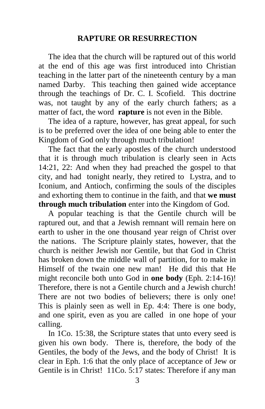#### **RAPTURE OR RESURRECTION**

The idea that the church will be raptured out of this world at the end of this age was first introduced into Christian teaching in the latter part of the nineteenth century by a man named Darby. This teaching then gained wide acceptance through the teachings of Dr. C. I. Scofield. This doctrine was, not taught by any of the early church fathers; as a matter of fact, the word **rapture** is not even in the Bible.

The idea of a rapture, however, has great appeal, for such is to be preferred over the idea of one being able to enter the Kingdom of God only through much tribulation!

The fact that the early apostles of the church understood that it is through much tribulation is clearly seen in Acts 14:21, 22: And when they had preached the gospel to that city, and had tonight nearly, they retired to Lystra, and to Iconium, and Antioch, confirming the souls of the disciples and exhorting them to continue in the faith, and that **we must through much tribulation** enter into the Kingdom of God.

A popular teaching is that the Gentile church will be raptured out, and that a Jewish remnant will remain here on earth to usher in the one thousand year reign of Christ over the nations. The Scripture plainly states, however, that the church is neither Jewish nor Gentile, but that God in Christ has broken down the middle wall of partition, for to make in Himself of the twain one new man! He did this that He might reconcile both unto God in **one body** (Eph. 2:14-16)! Therefore, there is not a Gentile church and a Jewish church! There are not two bodies of believers; there is only one! This is plainly seen as well in Ep. 4:4: There is one body, and one spirit, even as you are called in one hope of your calling.

In 1Co. 15:38, the Scripture states that unto every seed is given his own body. There is, therefore, the body of the Gentiles, the body of the Jews, and the body of Christ! It is clear in Eph. 1:6 that the only place of acceptance of Jew or Gentile is in Christ! 11Co. 5:17 states: Therefore if any man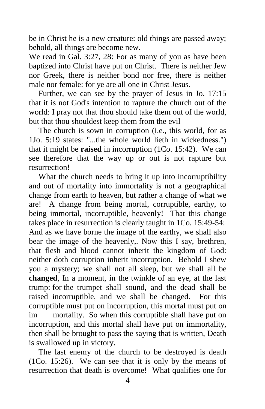be in Christ he is a new creature: old things are passed away; behold, all things are become new.

We read in Gal. 3:27, 28: For as many of you as have been baptized into Christ have put on Christ. There is neither Jew nor Greek, there is neither bond nor free, there is neither male nor female: for ye are all one in Christ Jesus.

Further, we can see by the prayer of Jesus in Jo. 17:15 that it is not God's intention to rapture the church out of the world: I pray not that thou should take them out of the world, but that thou shouldest keep them from the evil

The church is sown in corruption (i.e., this world, for as 1Jo. 5:19 states: "...the whole world lieth in wickedness.") that it might be **raised** in incorruption (1Co. 15:42). We can see therefore that the way up or out is not rapture but resurrection!

What the church needs to bring it up into incorruptibility and out of mortality into immortality is not a geographical change from earth to heaven, but rather a change of what we are! A change from being mortal, corruptible, earthy, to being immortal, incorruptible, heavenly! That this change takes place in resurrection is clearly taught in 1Co. 15:49-54: And as we have borne the image of the earthy, we shall also bear the image of the heavenly,. Now this I say, brethren, that flesh and blood cannot inherit the kingdom of God: neither doth corruption inherit incorruption. Behold I shew you a mystery; we shall not all sleep, but we shall all be **changed**, In a moment, in the twinkle of an eye, at the last trump: for the trumpet shall sound, and the dead shall be raised incorruptible, and we shall be changed. For this corruptible must put on incorruption, this mortal must put on im mortality. So when this corruptible shall have put on incorruption, and this mortal shall have put on immortality, then shall be brought to pass the saying that is written, Death is swallowed up in victory.

The last enemy of the church to be destroyed is death (1Co. 15:26). We can see that it is only by the means of resurrection that death is overcome! What qualifies one for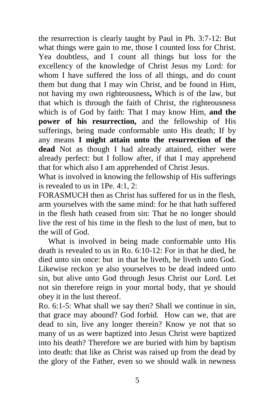the resurrection is clearly taught by Paul in Ph. 3:7-12: But what things were gain to me, those I counted loss for Christ. Yea doubtless, and I count all things but loss for the excellency of the knowledge of Christ Jesus my Lord: for whom I have suffered the loss of all things, and do count them but dung that I may win Christ, and be found in Him, not having my own righteousness**,** Which is of the law, but that which is through the faith of Christ, the righteousness which is of God by faith: That I may know Him, **and the power of his resurrection,** and the fellowship of His sufferings, being made conformable unto His death; If by any means **I might attain unto the resurrection of the dead** Not as though I had already attained, either were already perfect: but I follow after, if that I may apprehend that for which also I am apprehended of Christ Jesus.

What is involved in knowing the fellowship of His sufferings is revealed to us in 1Pe. 4:1, 2:

FORASMUCH then as Christ has suffered for us in the flesh, arm yourselves with the same mind: for he that hath suffered in the flesh hath ceased from sin: That he no longer should live the rest of his time in the flesh to the lust of men, but to the will of God.

What is involved in being made conformable unto His death is revealed to us in Ro. 6:10-12: For in that he died, he died unto sin once: but in that he liveth, he liveth unto God. Likewise reckon ye also yourselves to be dead indeed unto sin, but alive unto God through Jesus Christ our Lord. Let not sin therefore reign in your mortal body, that ye should obey it in the lust thereof.

Ro. 6:1-5: What shall we say then? Shall we continue in sin, that grace may abound? God forbid. How can we, that are dead to sin, live any longer therein? Know ye not that so many of us as were baptized into Jesus Christ were baptized into his death? Therefore we are buried with him by baptism into death: that like as Christ was raised up from the dead by the glory of the Father, even so we should walk in newness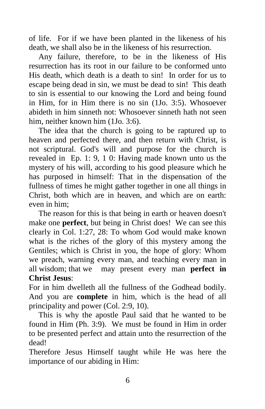of life. For if we have been planted in the likeness of his death, we shall also be in the likeness of his resurrection.

Any failure, therefore, to be in the likeness of His resurrection has its root in our failure to be conformed unto His death, which death is a death to sin! In order for us to escape being dead in sin, we must be dead to sin! This death to sin is essential to our knowing the Lord and being found in Him, for in Him there is no sin (1Jo. 3:5). Whosoever abideth in him sinneth not: Whosoever sinneth hath not seen him, neither known him (1Jo. 3:6).

The idea that the church is going to be raptured up to heaven and perfected there, and then return with Christ, is not scriptural. God's will and purpose for the church is revealed in Ep. 1: 9, 1 0: Having made known unto us the mystery of his will, according to his good pleasure which he has purposed in himself: That in the dispensation of the fullness of times he might gather together in one all things in Christ, both which are in heaven, and which are on earth: even in him;

The reason for this is that being in earth or heaven doesn't make one **perfect**, but being in Christ does! We can see this clearly in Col. 1:27, 28: To whom God would make known what is the riches of the glory of this mystery among the Gentiles; which is Christ in you, the hope of glory: Whom we preach, warning every man, and teaching every man in all wisdom; that we may present every man **perfect in Christ Jesus**:

For in him dwelleth all the fullness of the Godhead bodily. And you are **complete** in him, which is the head of all principality and power (Col. 2:9, 10).

This is why the apostle Paul said that he wanted to be found in Him (Ph. 3:9). We must be found in Him in order to be presented perfect and attain unto the resurrection of the dead!

Therefore Jesus Himself taught while He was here the importance of our abiding in Him: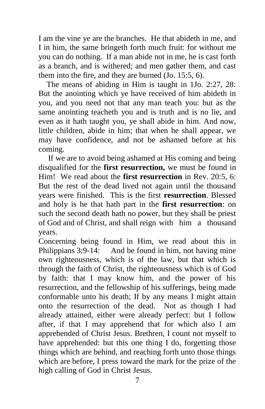I am the vine ye are the branches. He that abideth in me, and I in him, the same bringeth forth much fruit: for without me you can do nothing. If a man abide not in me, he is cast forth as a branch, and is withered; and men gather them, and cast them into the fire, and they are burned (Jo. 15:5, 6).

 The means of abiding in Him is taught in 1Jo. 2:27, 28: But the anointing which ye have received of him abideth in you, and you need not that any man teach you: but as the same anointing teacheth you and is truth and is no lie, and even as it hath taught you, ye shall abide in him. And now, little children, abide in him; that when he shall appear, we may have confidence, and not be ashamed before at his coming.

If we are to avoid being ashamed at His coming and being disqualified for the **first resurrection,** we must be found in Him!We read about the **first resurrection** in Rev. 20:5, 6: But the rest of the dead lived not again until the thousand years were finished. This is the first **resurrection**. Blessed and holy is he that hath part in the **first resurrection**: on such the second death hath no power, but they shall be priest of God and of Christ, and shall reign with him a thousand years.

Concerning being found in Him, we read about this in Philippians 3:9-14: And be found in him, not having mine own righteousness, which is of the law, but that which is through the faith of Christ, the righteousness which is of God by faith: that I may know him, and the power of his resurrection, and the fellowship of his sufferings, being made conformable unto his death; If by any means I might attain onto the resurrection of the dead. Not as though I had already attained, either were already perfect: but I follow after, if that I may apprehend that for which also I am apprehended of Christ Jesus. Brethren, I count not myself to have apprehended: but this one thing I do, forgetting those things which are behind, and reaching forth unto those things which are before, I press toward the mark for the prize of the high calling of God in Christ Jesus.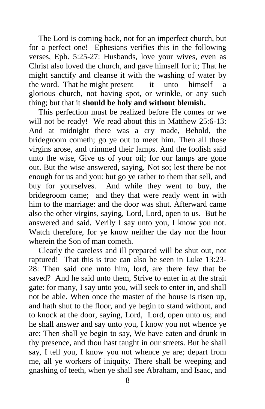The Lord is coming back, not for an imperfect church, but for a perfect one! Ephesians verifies this in the following verses, Eph. 5:25-27: Husbands, love your wives, even as Christ also loved the church, and gave himself for it; That he might sanctify and cleanse it with the washing of water by the word. That he might present it unto himself a glorious church, not having spot, or wrinkle, or any such thing; but that it **should be holy and without blemish.**

This perfection must be realized before He comes or we will not be ready! We read about this in Matthew 25:6-13: And at midnight there was a cry made, Behold, the bridegroom cometh; go ye out to meet him. Then all those virgins arose, and trimmed their lamps. And the foolish said unto the wise, Give us of your oil; for our lamps are gone out. But the wise answered, saying, Not so; lest there be not enough for us and you: but go ye rather to them that sell, and buy for yourselves. And while they went to buy, the bridegroom came; and they that were ready went in with him to the marriage: and the door was shut. Afterward came also the other virgins, saying, Lord, Lord, open to us. But he answered and said, Verily I say unto you, I know you not. Watch therefore, for ye know neither the day nor the hour wherein the Son of man cometh.

Clearly the careless and ill prepared will be shut out, not raptured! That this is true can also be seen in Luke 13:23- 28: Then said one unto him, lord, are there few that be saved? And he said unto them, Strive to enter in at the strait gate: for many, I say unto you, will seek to enter in, and shall not be able. When once the master of the house is risen up, and hath shut to the floor, and ye begin to stand without, and to knock at the door, saying, Lord, Lord, open unto us; and he shall answer and say unto you, I know you not whence ye are: Then shall ye begin to say, We have eaten and drunk in thy presence, and thou hast taught in our streets. But he shall say, I tell you, I know you not whence ye are; depart from me, all ye workers of iniquity. There shall be weeping and gnashing of teeth, when ye shall see Abraham, and Isaac, and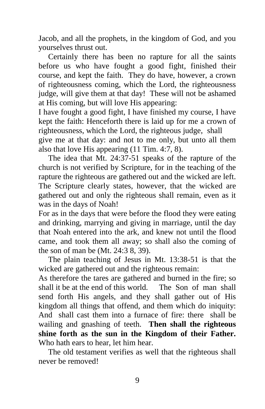Jacob, and all the prophets, in the kingdom of God, and you yourselves thrust out.

Certainly there has been no rapture for all the saints before us who have fought a good fight, finished their course, and kept the faith. They do have, however, a crown of righteousness coming, which the Lord, the righteousness judge, will give them at that day! These will not be ashamed at His coming, but will love His appearing:

I have fought a good fight, I have finished my course, I have kept the faith: Henceforth there is laid up for me a crown of righteousness, which the Lord, the righteous judge, shall give me at that day: and not to me only, but unto all them also that love His appearing (11 Tim. 4:7, 8).

The idea that Mt. 24:37-51 speaks of the rapture of the church is not verified by Scripture, for in the teaching of the rapture the righteous are gathered out and the wicked are left. The Scripture clearly states, however, that the wicked are gathered out and only the righteous shall remain, even as it was in the days of Noah!

For as in the days that were before the flood they were eating and drinking, marrying and giving in marriage, until the day that Noah entered into the ark, and knew not until the flood came, and took them all away; so shall also the coming of the son of man be (Mt. 24:3 8, 39).

The plain teaching of Jesus in Mt. 13:38-51 is that the wicked are gathered out and the righteous remain:

As therefore the tares are gathered and burned in the fire; so shall it be at the end of this world. The Son of man shall send forth His angels, and they shall gather out of His kingdom all things that offend, and them which do iniquity: And shall cast them into a furnace of fire: there shall be wailing and gnashing of teeth. **Then shall the righteous shine forth as the sun in the Kingdom of their Father.** Who hath ears to hear, let him hear.

The old testament verifies as well that the righteous shall never be removed!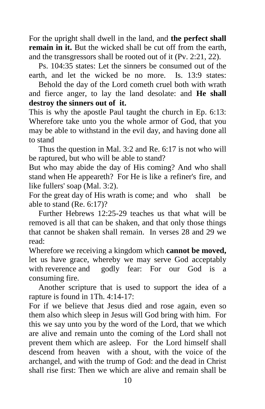For the upright shall dwell in the land, and **the perfect shall remain in it.** But the wicked shall be cut off from the earth, and the transgressors shall be rooted out of it (Pv. 2:21, 22).

Ps. 104:35 states: Let the sinners be consumed out of the earth, and let the wicked be no more. Is. 13:9 states:

Behold the day of the Lord cometh cruel both with wrath and fierce anger, to lay the land desolate: and **He shall destroy the sinners out of it.**

This is why the apostle Paul taught the church in Ep. 6:13: Wherefore take unto you the whole armor of God, that you may be able to withstand in the evil day, and having done all to stand

Thus the question in Mal. 3:2 and Re. 6:17 is not who will be raptured, but who will be able to stand?

But who may abide the day of His coming? And who shall stand when He appeareth? For He is like a refiner's fire, and like fullers' soap (Mal. 3:2).

For the great day of His wrath is come; and who shall be able to stand (Re. 6:17)?

Further Hebrews 12:25-29 teaches us that what will be removed is all that can be shaken, and that only those things that cannot be shaken shall remain. In verses 28 and 29 we read:

Wherefore we receiving a kingdom which **cannot be moved,** let us have grace, whereby we may serve God acceptably with reverence and godly fear: For our God is a consuming fire.

Another scripture that is used to support the idea of a rapture is found in 1Th. 4:14-17:

For if we believe that Jesus died and rose again, even so them also which sleep in Jesus will God bring with him. For this we say unto you by the word of the Lord, that we which are alive and remain unto the coming of the Lord shall not prevent them which are asleep. For the Lord himself shall descend from heaven with a shout, with the voice of the archangel, and with the trump of God: and the dead in Christ shall rise first: Then we which are alive and remain shall be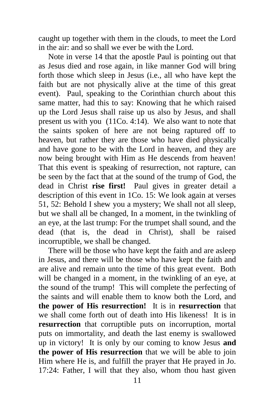caught up together with them in the clouds, to meet the Lord in the air: and so shall we ever be with the Lord.

Note in verse 14 that the apostle Paul is pointing out that as Jesus died and rose again, in like manner God will bring forth those which sleep in Jesus (i.e., all who have kept the faith but are not physically alive at the time of this great event). Paul, speaking to the Corinthian church about this same matter, had this to say: Knowing that he which raised up the Lord Jesus shall raise up us also by Jesus, and shall present us with you (11Co. 4:14). We also want to note that the saints spoken of here are not being raptured off to heaven, but rather they are those who have died physically and have gone to be with the Lord in heaven, and they are now being brought with Him as He descends from heaven! That this event is speaking of resurrection, not rapture, can be seen by the fact that at the sound of the trump of God, the dead in Christ **rise first!** Paul gives in greater detail a description of this event in 1Co. 15: We look again at verses 51, 52: Behold I shew you a mystery; We shall not all sleep, but we shall all be changed, In a moment, in the twinkling of an eye, at the last trump: For the trumpet shall sound, and the dead (that is, the dead in Christ), shall be raised incorruptible, we shall be changed.

There will be those who have kept the faith and are asleep in Jesus, and there will be those who have kept the faith and are alive and remain unto the time of this great event. Both will be changed in a moment, in the twinkling of an eye, at the sound of the trump! This will complete the perfecting of the saints and will enable them to know both the Lord, and **the power of His resurrection!** It is in **resurrection** that we shall come forth out of death into His likeness! It is in **resurrection** that corruptible puts on incorruption, mortal puts on immortality, and death the last enemy is swallowed up in victory! It is only by our coming to know Jesus **and the power of His resurrection** that we will be able to join Him where He is, and fulfill the prayer that He prayed in Jo. 17:24: Father, I will that they also, whom thou hast given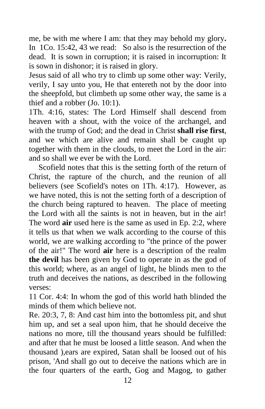me, be with me where I am: that they may behold my glory**.**  In 1Co. 15:42, 43 we read: So also is the resurrection of the dead. It is sown in corruption; it is raised in incorruption: It is sown in dishonor; it is raised in glory.

Jesus said of all who try to climb up some other way: Verily, verily, I say unto you, He that entereth not by the door into the sheepfold, but climbeth up some other way, the same is a thief and a robber (Jo. 10:1).

1Th. 4:16, states: The Lord Himself shall descend from heaven with a shout, with the voice of the archangel, and with the trump of God; and the dead in Christ **shall rise first**, and we which are alive and remain shall be caught up together with them in the clouds, to meet the Lord in the air: and so shall we ever be with the Lord.

Scofield notes that this is the setting forth of the return of Christ, the rapture of the church, and the reunion of all believers (see Scofield's notes on 1Th. 4:17). However, as we have noted, this is not the setting forth of a description of the church being raptured to heaven. The place of meeting the Lord with all the saints is not in heaven, but in the air! The word **air** used here is the same as used in Ep. 2:2, where it tells us that when we walk according to the course of this world, we are walking according to "the prince of the power of the air!" The word **air** here is a description of the realm **the devil** has been given by God to operate in as the god of this world; where, as an angel of light, he blinds men to the truth and deceives the nations, as described in the following verses:

11 Cor. 4:4: In whom the god of this world hath blinded the minds of them which believe not.

Re. 20:3, 7, 8: And cast him into the bottomless pit, and shut him up, and set a seal upon him, that he should deceive the nations no more, till the thousand years should be fulfilled: and after that he must be loosed a little season. And when the thousand ),ears are expired, Satan shall be loosed out of his prison, 'And shall go out to deceive the nations which are in the four quarters of the earth, Gog and Magog, to gather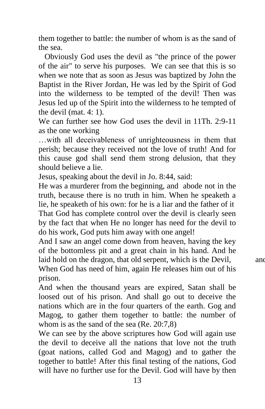them together to battle: the number of whom is as the sand of the sea.

 Obviously God uses the devil as "the prince of the power of the air" to serve his purposes. We can see that this is so when we note that as soon as Jesus was baptized by John the Baptist in the River Jordan, He was led by the Spirit of God into the wilderness to be tempted of the devil! Then was Jesus led up of the Spirit into the wilderness to he tempted of the devil (mat. 4: 1).

We can further see how God uses the devil in 11Th. 2:9-11 as the one working

…with all deceivableness of unrighteousness in them that perish; because they received not the love of truth! And for this cause god shall send them strong delusion, that they should believe a lie.

Jesus, speaking about the devil in Jo. 8:44, said:

He was a murderer from the beginning, and abode not in the truth, because there is no truth in him. When he speaketh a lie, he speaketh of his own: for he is a liar and the father of it That God has complete control over the devil is clearly seen by the fact that when He no longer has need for the devil to do his work, God puts him away with one angel!

And I saw an angel come down from heaven, having the key of the bottomless pit and a great chain in his hand. And he laid hold on the dragon, that old serpent, which is the Devil, and  $\alpha$ When God has need of him, again He releases him out of his prison.

And when the thousand years are expired, Satan shall be loosed out of his prison. And shall go out to deceive the nations which are in the four quarters of the earth. Gog and Magog, to gather them together to battle: the number of whom is as the sand of the sea (Re. 20:7,8)

We can see by the above scriptures how God will again use the devil to deceive all the nations that love not the truth (goat nations, called God and Magog) and to gather the together to battle! After this final testing of the nations, God will have no further use for the Devil. God will have by then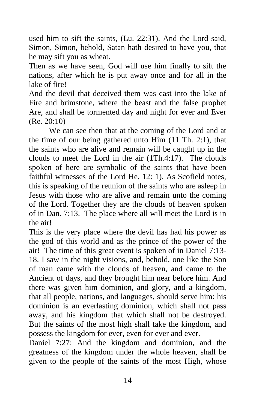used him to sift the saints, (Lu. 22:31). And the Lord said, Simon, Simon, behold, Satan hath desired to have you, that he may sift you as wheat.

Then as we have seen, God will use him finally to sift the nations, after which he is put away once and for all in the lake of fire!

And the devil that deceived them was cast into the lake of Fire and brimstone, where the beast and the false prophet Are, and shall be tormented day and night for ever and Ever (Re. 20:10)

 We can see then that at the coming of the Lord and at the time of our being gathered unto Him (11 Th. 2:1), that the saints who are alive and remain will be caught up in the clouds to meet the Lord in the air (1Th.4:17). The clouds spoken of here are symbolic of the saints that have been faithful witnesses of the Lord He. 12: 1). As Scofield notes, this is speaking of the reunion of the saints who are asleep in Jesus with those who are alive and remain unto the coming of the Lord. Together they are the clouds of heaven spoken of in Dan. 7:13. The place where all will meet the Lord is in the air!

This is the very place where the devil has had his power as the god of this world and as the prince of the power of the air! The time of this great event is spoken of in Daniel 7:13- 18. I saw in the night visions, and, behold, one like the Son of man came with the clouds of heaven, and came to the Ancient of days, and they brought him near before him. And there was given him dominion, and glory, and a kingdom, that all people, nations, and languages, should serve him: his dominion is an everlasting dominion, which shall not pass away, and his kingdom that which shall not be destroyed. But the saints of the most high shall take the kingdom, and possess the kingdom for ever, even for ever and ever.

Daniel 7:27: And the kingdom and dominion, and the greatness of the kingdom under the whole heaven, shall be given to the people of the saints of the most High, whose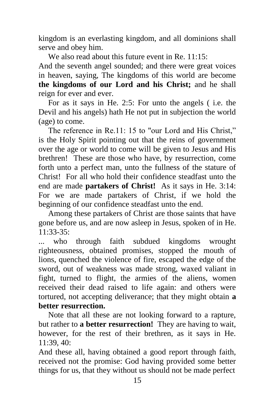kingdom is an everlasting kingdom, and all dominions shall serve and obey him.

We also read about this future event in Re. 11:15: And the seventh angel sounded; and there were great voices in heaven, saying, The kingdoms of this world are become **the kingdoms of our Lord and his Christ;** and he shall reign for ever and ever.

For as it says in He. 2:5: For unto the angels ( i.e. the Devil and his angels) hath He not put in subjection the world (age) to come.

The reference in Re.11: 15 to "our Lord and His Christ," is the Holy Spirit pointing out that the reins of government over the age or world to come will be given to Jesus and His brethren! These are those who have, by resurrection, come forth unto a perfect man, unto the fullness of the stature of Christ! For all who hold their confidence steadfast unto the end are made **partakers of Christ!** As it says in He. 3:14: For we are made partakers of Christ, if we hold the beginning of our confidence steadfast unto the end.

Among these partakers of Christ are those saints that have gone before us, and are now asleep in Jesus, spoken of in He. 11:33-35:

... who through faith subdued kingdoms wrought righteousness, obtained promises, stopped the mouth of lions, quenched the violence of fire, escaped the edge of the sword, out of weakness was made strong, waxed valiant in fight, turned to flight, the armies of the aliens, women received their dead raised to life again: and others were tortured, not accepting deliverance; that they might obtain **a better resurrection.**

Note that all these are not looking forward to a rapture, but rather to **a better resurrection!** They are having to wait, however, for the rest of their brethren, as it says in He. 11:39, 40:

And these all, having obtained a good report through faith, received not the promise: God having provided some better things for us, that they without us should not be made perfect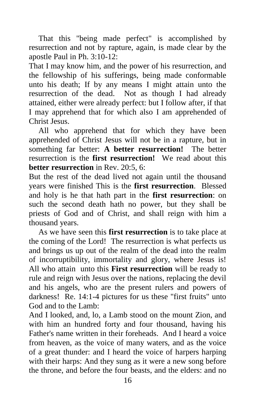That this "being made perfect" is accomplished by resurrection and not by rapture, again, is made clear by the apostle Paul in Ph. 3:10-12:

That I may know him, and the power of his resurrection, and the fellowship of his sufferings, being made conformable unto his death; If by any means I might attain unto the resurrection of the dead. Not as though I had already attained, either were already perfect: but I follow after, if that I may apprehend that for which also I am apprehended of Christ Jesus.

All who apprehend that for which they have been apprehended of Christ Jesus will not be in a rapture, but in something far better: **A better resurrection!** The better resurrection is the **first resurrection!** We read about this **better resurrection** in Rev. 20:5, 6:

But the rest of the dead lived not again until the thousand years were finished This is the **first resurrection**. Blessed and holy is he that hath part in the **first resurrection**: on such the second death hath no power, but they shall be priests of God and of Christ, and shall reign with him a thousand years.

As we have seen this **first resurrection** is to take place at the coming of the Lord! The resurrection is what perfects us and brings us up out of the realm of the dead into the realm of incorruptibility, immortality and glory, where Jesus is! All who attain unto this **First resurrection** will be ready to rule and reign with Jesus over the nations, replacing the devil and his angels, who are the present rulers and powers of darkness! Re. 14:1-4 pictures for us these "first fruits" unto God and to the Lamb:

And I looked, and, lo, a Lamb stood on the mount Zion, and with him an hundred forty and four thousand, having his Father's name written in their foreheads. And I heard a voice from heaven, as the voice of many waters, and as the voice of a great thunder: and I heard the voice of harpers harping with their harps: And they sung as it were a new song before the throne, and before the four beasts, and the elders: and no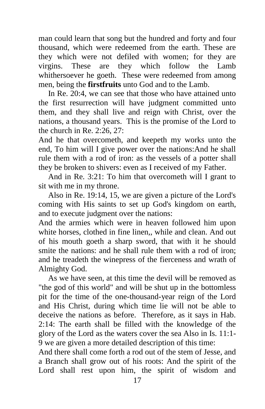man could learn that song but the hundred and forty and four thousand, which were redeemed from the earth. These are they which were not defiled with women; for they are virgins. These are they which follow the Lamb whithersoever he goeth. These were redeemed from among men, being the **firstfruits** unto God and to the Lamb.

In Re. 20:4, we can see that those who have attained unto the first resurrection will have judgment committed unto them, and they shall live and reign with Christ, over the nations, a thousand years. This is the promise of the Lord to the church in Re. 2:26, 27:

And he that overcometh, and keepeth my works unto the end, To him will I give power over the nations:And he shall rule them with a rod of iron: as the vessels of a potter shall they be broken to shivers: even as I received of my Father.

And in Re. 3:21: To him that overcometh will I grant to sit with me in my throne.

Also in Re. 19:14, 15, we are given a picture of the Lord's coming with His saints to set up God's kingdom on earth, and to execute judgment over the nations:

And the armies which were in heaven followed him upon white horses, clothed in fine linen,, while and clean. And out of his mouth goeth a sharp sword, that with it he should smite the nations: and he shall rule them with a rod of iron; and he treadeth the winepress of the fierceness and wrath of Almighty God.

As we have seen, at this time the devil will be removed as "the god of this world" and will be shut up in the bottomless pit for the time of the one-thousand-year reign of the Lord and His Christ, during which time lie will not be able to deceive the nations as before. Therefore, as it says in Hab. 2:14: The earth shall be filled with the knowledge of the glory of the Lord as the waters cover the sea Also in Is. 11:1- 9 we are given a more detailed description of this time:

And there shall come forth a rod out of the stem of Jesse, and a Branch shall grow out of his roots: And the spirit of the Lord shall rest upon him, the spirit of wisdom and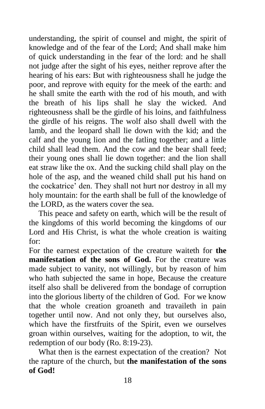understanding, the spirit of counsel and might, the spirit of knowledge and of the fear of the Lord; And shall make him of quick understanding in the fear of the lord: and he shall not judge after the sight of his eyes, neither reprove after the hearing of his ears: But with righteousness shall he judge the poor, and reprove with equity for the meek of the earth: and he shall smite the earth with the rod of his mouth, and with the breath of his lips shall he slay the wicked. And righteousness shall be the girdle of his loins, and faithfulness the girdle of his reigns. The wolf also shall dwell with the lamb, and the leopard shall lie down with the kid; and the calf and the young lion and the fatling together; and a little child shall lead them. And the cow and the bear shall feed; their young ones shall lie down together: and the lion shall eat straw like the ox. And the sucking child shall play on the hole of the asp, and the weaned child shall put his hand on the cockatrice' den. They shall not hurt nor destroy in all my holy mountain: for the earth shall be full of the knowledge of the LORD, as the waters cover the sea.

This peace and safety on earth, which will be the result of the kingdoms of this world becoming the kingdoms of our Lord and His Christ, is what the whole creation is waiting for:

For the earnest expectation of the creature waiteth for **the manifestation of the sons of God.** For the creature was made subject to vanity, not willingly, but by reason of him who hath subjected the same in hope, Because the creature itself also shall be delivered from the bondage of corruption into the glorious liberty of the children of God. For we know that the whole creation groaneth and travaileth in pain together until now. And not only they, but ourselves also, which have the firstfruits of the Spirit, even we ourselves groan within ourselves, waiting for the adoption, to wit, the redemption of our body (Ro. 8:19-23).

What then is the earnest expectation of the creation? Not the rapture of the church, but **the manifestation of the sons of God!**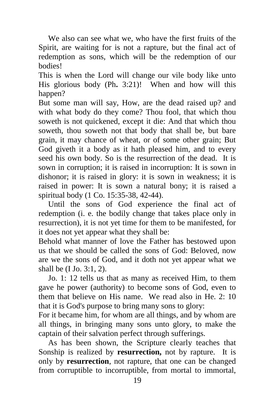We also can see what we, who have the first fruits of the Spirit, are waiting for is not a rapture, but the final act of redemption as sons, which will be the redemption of our bodies!

This is when the Lord will change our vile body like unto His glorious body (Ph**.** 3:21)! When and how will this happen?

But some man will say, How, are the dead raised up? and with what body do they come? Thou fool, that which thou soweth is not quickened, except it die: And that which thou soweth, thou soweth not that body that shall be, but bare grain, it may chance of wheat, or of some other grain; But God giveth it a body as it hath pleased him, and to every seed his own body. So is the resurrection of the dead. It is sown in corruption; it is raised in incorruption: It is sown in dishonor; it is raised in glory: it is sown in weakness; it is raised in power: It is sown a natural bony; it is raised a spiritual body (1 Co. 15:35-38, 42-44).

Until the sons of God experience the final act of redemption (i. e. the bodily change that takes place only in resurrection), it is not yet time for them to be manifested, for it does not yet appear what they shall be:

Behold what manner of love the Father has bestowed upon us that we should be called the sons of God: Beloved, now are we the sons of God, and it doth not yet appear what we shall be (I Jo. 3:1, 2).

Jo. 1: 12 tells us that as many as received Him, to them gave he power (authority) to become sons of God, even to them that believe on His name. We read also in He. 2: 10 that it is God's purpose to bring many sons to glory:

For it became him, for whom are all things, and by whom are all things, in bringing many sons unto glory, to make the captain of their salvation perfect through sufferings.

As has been shown, the Scripture clearly teaches that Sonship is realized by **resurrection,** not by rapture. It is only by **resurrection**, not rapture, that one can be changed from corruptible to incorruptible, from mortal to immortal,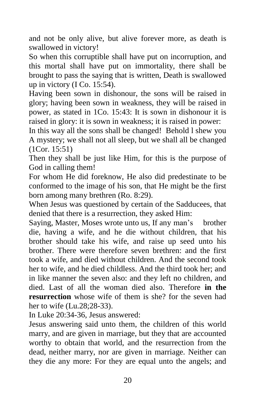and not be only alive, but alive forever more, as death is swallowed in victory!

So when this corruptible shall have put on incorruption, and this mortal shall have put on immortality, there shall be brought to pass the saying that is written, Death is swallowed up in victory (I Co. 15:54).

Having been sown in dishonour, the sons will be raised in glory; having been sown in weakness, they will be raised in power, as stated in 1Co. 15:43: It is sown in dishonour it is raised in glory: it is sown in weakness; it is raised in power:

In this way all the sons shall be changed! Behold l shew you A mystery; we shall not all sleep, but we shall all be changed (1Cor. 15:51)

Then they shall be just like Him, for this is the purpose of God in calling them!

For whom He did foreknow, He also did predestinate to be conformed to the image of his son, that He might be the first born among many brethren (Ro. 8:29).

When Jesus was questioned by certain of the Sadducees, that denied that there is a resurrection, they asked Him:

Saying, Master, Moses wrote unto us, If any man's brother die, having a wife, and he die without children, that his brother should take his wife, and raise up seed unto his brother. There were therefore seven brethren: and the first took a wife, and died without children. And the second took her to wife, and he died childless. And the third took her; and in like manner the seven also: and they left no children, and died. Last of all the woman died also. Therefore **in the resurrection** whose wife of them is she? for the seven had her to wife (Lu.28;28-33).

In Luke 20:34-36, Jesus answered:

Jesus answering said unto them, the children of this world marry, and are given in marriage, but they that are accounted worthy to obtain that world, and the resurrection from the dead, neither marry, nor are given in marriage. Neither can they die any more: For they are equal unto the angels; and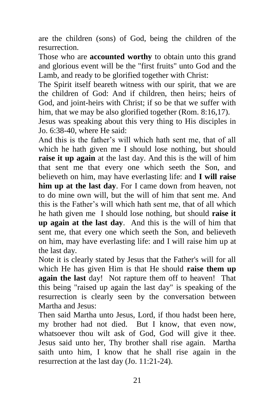are the children (sons) of God, being the children of the resurrection.

Those who are **accounted worthy** to obtain unto this grand and glorious event will be the "first fruits" unto God and the Lamb, and ready to be glorified together with Christ:

The Spirit itself beareth witness with our spirit, that we are the children of God: And if children, then heirs; heirs of God, and joint-heirs with Christ; if so be that we suffer with him, that we may be also glorified together (Rom. 8:16,17).

Jesus was speaking about this very thing to His disciples in Jo. 6:38-40, where He said:

And this is the father's will which hath sent me, that of all which he hath given me I should lose nothing, but should **raise it up again** at the last day. And this is the will of him that sent me that every one which seeth the Son, and believeth on him, may have everlasting life: and **I will raise him up at the last day**. For I came down from heaven, not to do mine own will, but the will of him that sent me. And this is the Father's will which hath sent me, that of all which he hath given me I should lose nothing, but should **raise it up again at the last day**. And this is the will of him that sent me, that every one which seeth the Son, and believeth on him, may have everlasting life: and I will raise him up at the last day.

Note it is clearly stated by Jesus that the Father's will for all which He has given Him is that He should **raise them up again the last** day! Not rapture them off to heaven! That this being "raised up again the last day" is speaking of the resurrection is clearly seen by the conversation between Martha and Jesus:

Then said Martha unto Jesus, Lord, if thou hadst been here, my brother had not died. But I know, that even now, whatsoever thou wilt ask of God, God will give it thee. Jesus said unto her, Thy brother shall rise again. Martha saith unto him, I know that he shall rise again in the resurrection at the last day (Jo. 11:21-24).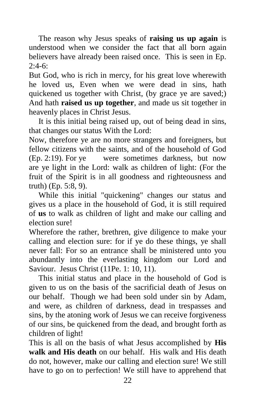The reason why Jesus speaks of **raising us up again** is understood when we consider the fact that all born again believers have already been raised once. This is seen in Ep.  $2:4-6:$ 

But God, who is rich in mercy, for his great love wherewith he loved us, Even when we were dead in sins, hath quickened us together with Christ, (by grace ye are saved;) And hath **raised us up together**, and made us sit together in heavenly places in Christ Jesus.

It is this initial being raised up, out of being dead in sins, that changes our status With the Lord:

Now, therefore ye are no more strangers and foreigners, but fellow citizens with the saints, and of the household of God (Ep. 2:19). For ye were sometimes darkness, but now are ye light in the Lord: walk as children of light: (For the fruit of the Spirit is in all goodness and righteousness and truth) (Ep. 5:8, 9).

While this initial "quickening" changes our status and gives us a place in the household of God, it is still required of **us** to walk as children of light and make our calling and election sure!

Wherefore the rather, brethren, give diligence to make your calling and election sure: for if ye do these things, ye shall never fall: For so an entrance shall be ministered unto you abundantly into the everlasting kingdom our Lord and Saviour. Jesus Christ (11Pe. 1: 10, 11).

This initial status and place in the household of God is given to us on the basis of the sacrificial death of Jesus on our behalf. Though we had been sold under sin by Adam, and were, as children of darkness, dead in trespasses and sins, by the atoning work of Jesus we can receive forgiveness of our sins, be quickened from the dead, and brought forth as children of light!

This is all on the basis of what Jesus accomplished by **His walk and His death** on our behalf. His walk and His death do not, however, make our calling and election sure! We still have to go on to perfection! We still have to apprehend that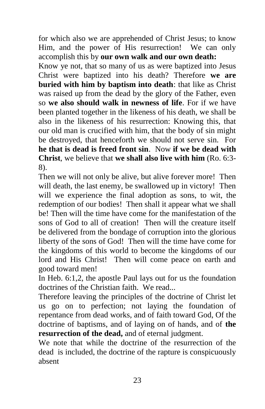for which also we are apprehended of Christ Jesus; to know Him, and the power of His resurrection! We can only accomplish this by **our own walk and our own death:**

Know ye not, that so many of us as were baptized into Jesus Christ were baptized into his death? Therefore **we are buried with him by baptism into death**: that like as Christ was raised up from the dead by the glory of the Father, even so **we also should walk in newness of life**. For if we have been planted together in the likeness of his death, we shall be also in the likeness of his resurrection: Knowing this, that our old man is crucified with him, that the body of sin might be destroyed, that henceforth we should not serve sin. For **he that is dead is freed front sin**. Now **if we be dead with Christ**, we believe that **we shall also live with him** (Ro. 6:3- 8).

Then we will not only be alive, but alive forever more! Then will death, the last enemy, be swallowed up in victory! Then will we experience the final adoption as sons, to wit, the redemption of our bodies! Then shall it appear what we shall be! Then will the time have come for the manifestation of the sons of God to all of creation! Then will the creature itself be delivered from the bondage of corruption into the glorious liberty of the sons of God! Then will the time have come for the kingdoms of this world to become the kingdoms of our lord and His Christ! Then will come peace on earth and good toward men!

In Heb. 6:1,2, the apostle Paul lays out for us the foundation doctrines of the Christian faith. We read...

Therefore leaving the principles of the doctrine of Christ let us go on to perfection; not laying the foundation of repentance from dead works, and of faith toward God, Of the doctrine of baptisms, and of laying on of hands, and of **the resurrection of the dead,** and of eternal judgment.

We note that while the doctrine of the resurrection of the dead is included, the doctrine of the rapture is conspicuously absent